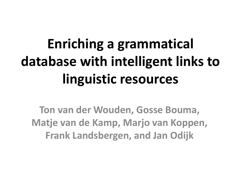# **Enriching a grammatical database with intelligent links to linguistic resources**

**Ton van der Wouden, Gosse Bouma, Matje van de Kamp, Marjo van Koppen, Frank Landsbergen, and Jan Odijk**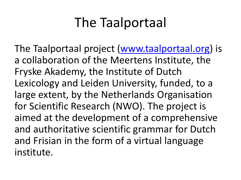# The Taalportaal

The Taalportaal project ([www.taalportaal.org](http://www.taalportaal.org/)) is a collaboration of the Meertens Institute, the Fryske Akademy, the Institute of Dutch Lexicology and Leiden University, funded, to a large extent, by the Netherlands Organisation for Scientific Research (NWO). The project is aimed at the development of a comprehensive and authoritative scientific grammar for Dutch and Frisian in the form of a virtual language institute.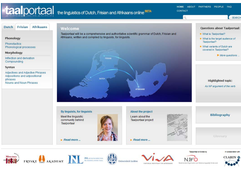## **taal** portaal the linguistics of Dutch, Frisian and Afrikaans online BETA

Taalportaal will be a comprehensive and authoritative scientific grammar of Dutch. Frisian and

**HOME** ABOUT PARTNERS PEOPLE FAQ **CONTACT** 

SEARCH

**Questions about Taalportaal:** 

. What is Taalportaal?

**Dutch Frisian Afrikaans** 

### Phonology

**Phonotactics** Phonological processes

### Morphology

Inflection and derivation Compounding

Syntax

Adjectives and Adjective Phrases Adpositions and adpositional phrases Nouns and Noun Phrases

### Welcome



By linguists, for linguists

Meet the linguistic community behind **Taalportaal** 

 $\blacktriangleright$  Read more ...



### About the project

Learn about the Taalportaal project

 $\blacktriangleright$  Read more ...



**Bibliography** 

Glossary









VIRTUELE INSTITUUT VIR AFRIKAANS



Taalportaal is funded by



In collaboration with





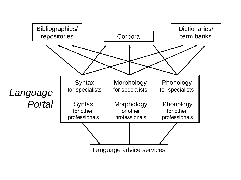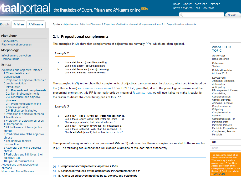## taalportaal the linguistics of Dutch, Frisian and Afrikaans online BETA

PARTNERS PEOPLE HOME **ABOUT** NEWS & EVENTS FAQ CONTACT

Q



| Dutch                                                                                                                                                                                                                                                                                                                                                                                                                                                                                                                                                                 | Frisian                                                                                                                                                                                                                      | <b>Afrikaans</b> | Syntax > Adjectives and Adjective Phrases > 2 Projection of adjective phrases I: Complementation > 2.1. Prepositional complements                                                                                                                                                                                                                                                                                                                                                                                                                                                                                                                                                                                                                                                                                                    |                                                                                                                                                                                                                                                    |  |  |
|-----------------------------------------------------------------------------------------------------------------------------------------------------------------------------------------------------------------------------------------------------------------------------------------------------------------------------------------------------------------------------------------------------------------------------------------------------------------------------------------------------------------------------------------------------------------------|------------------------------------------------------------------------------------------------------------------------------------------------------------------------------------------------------------------------------|------------------|--------------------------------------------------------------------------------------------------------------------------------------------------------------------------------------------------------------------------------------------------------------------------------------------------------------------------------------------------------------------------------------------------------------------------------------------------------------------------------------------------------------------------------------------------------------------------------------------------------------------------------------------------------------------------------------------------------------------------------------------------------------------------------------------------------------------------------------|----------------------------------------------------------------------------------------------------------------------------------------------------------------------------------------------------------------------------------------------------|--|--|
| Phonology                                                                                                                                                                                                                                                                                                                                                                                                                                                                                                                                                             |                                                                                                                                                                                                                              |                  | 2.1. Prepositional complements                                                                                                                                                                                                                                                                                                                                                                                                                                                                                                                                                                                                                                                                                                                                                                                                       |                                                                                                                                                                                                                                                    |  |  |
| Phonotactics<br>Phonological processes<br><b>Morphology</b><br>Inflection and derivation<br>Compounding<br>Syntax                                                                                                                                                                                                                                                                                                                                                                                                                                                     |                                                                                                                                                                                                                              |                  | The examples in (2) show that complements of adjectives are normally PPs, which are often optional.<br>Example 2<br>Jan is niet boos (over die opmerking).<br>а.<br>Jan is not angry about that remark<br>Jan is niet tevreden (over zijn beloning).<br>b.                                                                                                                                                                                                                                                                                                                                                                                                                                                                                                                                                                           | <b>ABOUT THIS</b><br><b>TOPIC</b><br>Author(s):<br>Hans Broekhuis<br>Category:<br>Syntax<br><b>Publication date:</b>                                                                                                                               |  |  |
| Adjectives and Adjective Phrases<br>1 Characteristics and<br>classification<br>2 Projection of adjective phrases I:<br>Complementation<br>Introduction<br>2.1. Prepositional complements<br>2.2. Nominal complements<br>2.3. Discontinuous adjective<br>phrases<br>2.4. Pronominalization of the<br>adjective (phrase)<br>2.5. Bibliographical notes<br>3 Projection of adjective phrases<br>II: Modification<br>4 Projection of adjective phrases<br>III: Comparison<br>5 Attributive use of the adjective<br>phrase<br>6 Predicative use of the adjective<br>phrase |                                                                                                                                                                                                                              |                  | Jan is not satisfied with his reward<br>The examples in (3) further show that complements of adjectives can sometimes be clauses, which are introduced by<br>the (often optional) ANTICIPATORY PRONOMINAL PP er + P'P + it'; given that, due to the phonological weakness of the<br>pronominal element er, this PP is normally split by means of R-EXTRACTION, we will use italics to make it easier for<br>the reader to detect the constituting parts of this PP.<br>Example 3<br>boos (over) dat Peter niet gekomen is.<br>Jan is (er)<br>a.<br>Jan is there angry about that Peter not come<br>is<br>'Jan is angry (about it) that Peter didn't come.'<br>b.<br>Jan is (er) tevreden (over) dat hij ontvangen is.<br>Jan is there satisfied with that he received is<br>'Jan is satisfied (about it) that he has been received.' |                                                                                                                                                                                                                                                    |  |  |
| phrase<br>phrases                                                                                                                                                                                                                                                                                                                                                                                                                                                                                                                                                     | 7 The partitive genitive<br>construction<br>8 Adverbial use of the adjective<br>9 Participles and infinitives: their<br>adjectival use<br>10 Special constructions<br>Adpositions and adpositional<br>Nouns and Noun Phrases |                  | The option of having an anticipatory pronominal PPs in (3) indicates that these examples are related to the examples<br>in (2). The following two subsections will discuss examples of this sort more extensively.<br>[+] I. Prepositional complements: Adjective + P-NP<br>II. Clauses introduced by the anticipatory PP-complement $er + P$<br>H.<br>[+] III. A note on adiectives modified by te, genoeg, and voldoende                                                                                                                                                                                                                                                                                                                                                                                                           | cite<br>print<br>This topic is the result of an<br>automatic conversion from<br>Word and may therefore<br>contain errors. A free Open<br>Access publication of the<br>corresponding volumes of th<br>Syntax of Dutch is available<br>at OAPEN.org. |  |  |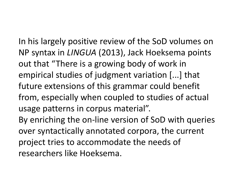In his largely positive review of the SoD volumes on NP syntax in *LINGUA* (2013), Jack Hoeksema points out that "There is a growing body of work in empirical studies of judgment variation [...] that future extensions of this grammar could benefit from, especially when coupled to studies of actual usage patterns in corpus material".

By enriching the on-line version of SoD with queries over syntactically annotated corpora, the current project tries to accommodate the needs of researchers like Hoeksema.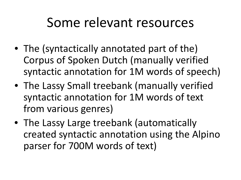## Some relevant resources

- The (syntactically annotated part of the) Corpus of Spoken Dutch (manually verified syntactic annotation for 1M words of speech)
- The Lassy Small treebank (manually verified syntactic annotation for 1M words of text from various genres)
- The Lassy Large treebank (automatically created syntactic annotation using the Alpino parser for 700M words of text)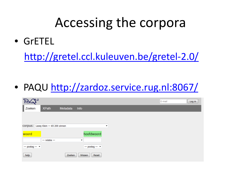# Accessing the corpora

• GrETEL

<http://gretel.ccl.kuleuven.be/gretel-2.0/>

• PAQU <http://zardoz.service.rug.nl:8067/>

| විකි                                |                 |          |                          |   |  | E-mail | Log in |
|-------------------------------------|-----------------|----------|--------------------------|---|--|--------|--------|
| Zoeken                              | <b>XPath</b>    | Metadata | Info                     |   |  |        |        |
|                                     |                 |          |                          |   |  |        |        |
| COFPUS: Lassy Klein - 65 200 zinnen |                 |          |                          | ▼ |  |        |        |
|                                     |                 |          |                          |   |  |        |        |
| woord                               |                 |          | hoofdwoord               |   |  |        |        |
|                                     | $-$ relatie $-$ |          | $\overline{\phantom{a}}$ |   |  |        |        |
| $-$ postag $ \star$                 |                 |          | $-$ postag $ \sim$       |   |  |        |        |
| help                                |                 | Zoeken   | Wissen<br>Reset          |   |  |        |        |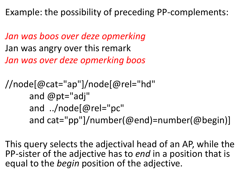Example: the possibility of preceding PP-complements:

*Jan was boos over deze opmerking* Jan was angry over this remark *Jan was over deze opmerking boos*

```
//node[@cat="ap"]/node[@rel="hd" 
and @pt="adj" 
and ../node[@rel="pc" 
and cat="pp"]/number(@end)=number(@begin)]
```
This query selects the adjectival head of an AP, while the PP-sister of the adjective has to *end* in a position that is equal to the *begin* position of the adjective.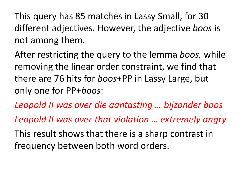This query has 85 matches in Lassy Small, for 30 different adjectives. However, the adjective *boos* is not among them.

After restricting the query to the lemma *boos,* while removing the linear order constraint, we find that there are 76 hits for *boos*+PP in Lassy Large, but only one for PP+*boos*:

*Leopold II was over die aantasting … bijzonder boos Leopold II was over that violation … extremely angry*

This result shows that there is a sharp contrast in frequency between both word orders.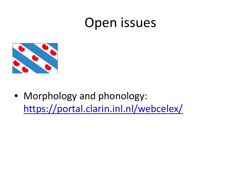## Open issues



• Morphology and phonology: <https://portal.clarin.inl.nl/webcelex/>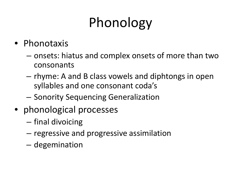# Phonology

### • Phonotaxis

- onsets: hiatus and complex onsets of more than two consonants
- rhyme: A and B class vowels and diphtongs in open syllables and one consonant coda's
- Sonority Sequencing Generalization
- phonological processes
	- final divoicing
	- regressive and progressive assimilation
	- degemination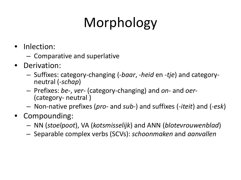# Morphology

- Inlection:
	- Comparative and superlative
- Derivation:
	- Suffixes: category-changing (-*baar*, -*heid* en -*tje*) and category- neutral (-*schap*)
	- Prefixes: *be*-, *ver* (category-changing) and *on* and *oer-* (category- neutral )
	- Non-native prefixes (*pro* and *sub*-) and suffixes (-*iteit*) and (-*esk*)
- Compounding:
	- NN (*stoelpoot*), VA (*kotsmisselijk*) and ANN (*blotevrouwenblad*)
	- Separable complex verbs (SCVs): *schoonmaken* and *aanvallen*